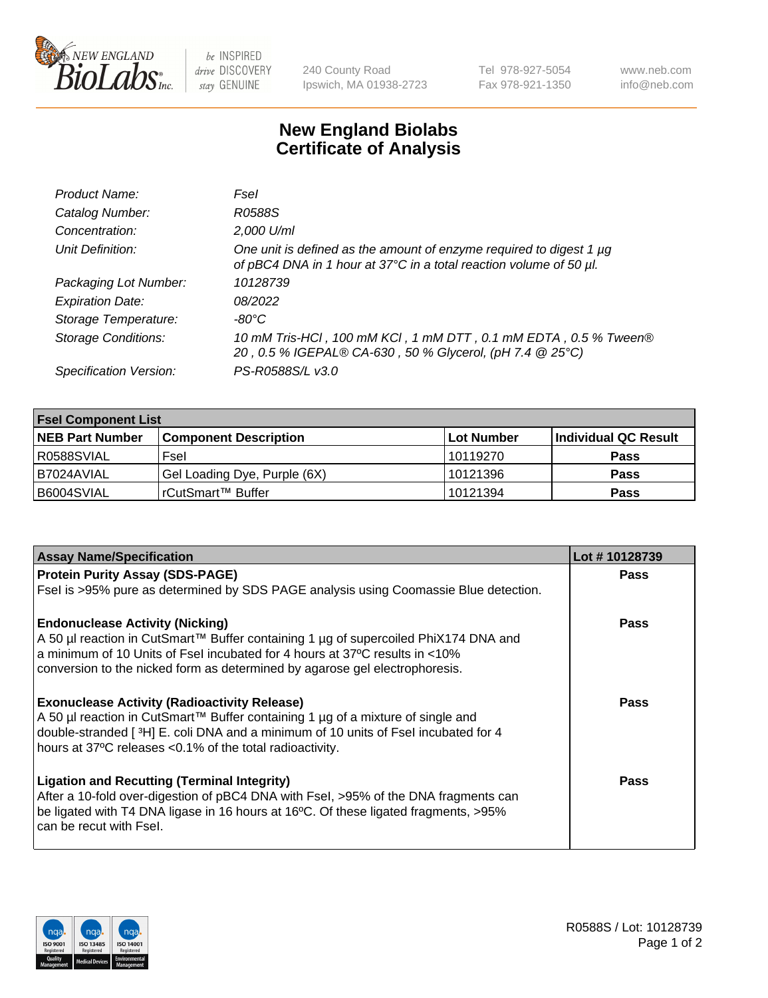

be INSPIRED drive DISCOVERY stay GENUINE

240 County Road Ipswich, MA 01938-2723 Tel 978-927-5054 Fax 978-921-1350 www.neb.com info@neb.com

## **New England Biolabs Certificate of Analysis**

| Product Name:              | Fsel                                                                                                                                      |
|----------------------------|-------------------------------------------------------------------------------------------------------------------------------------------|
| Catalog Number:            | R0588S                                                                                                                                    |
| Concentration:             | 2,000 U/ml                                                                                                                                |
| Unit Definition:           | One unit is defined as the amount of enzyme required to digest 1 µg<br>of pBC4 DNA in 1 hour at 37°C in a total reaction volume of 50 µl. |
| Packaging Lot Number:      | 10128739                                                                                                                                  |
| <b>Expiration Date:</b>    | 08/2022                                                                                                                                   |
| Storage Temperature:       | $-80^{\circ}$ C                                                                                                                           |
| <b>Storage Conditions:</b> | 10 mM Tris-HCl, 100 mM KCl, 1 mM DTT, 0.1 mM EDTA, 0.5 % Tween®<br>20, 0.5 % IGEPAL® CA-630, 50 % Glycerol, (pH 7.4 @ 25°C)               |
| Specification Version:     | PS-R0588S/L v3.0                                                                                                                          |

| <b>Fsel Component List</b> |                              |             |                      |  |  |
|----------------------------|------------------------------|-------------|----------------------|--|--|
| <b>NEB Part Number</b>     | <b>Component Description</b> | ∣Lot Number | Individual QC Result |  |  |
| R0588SVIAL                 | Fsel                         | 10119270    | <b>Pass</b>          |  |  |
| I B7024AVIAL               | Gel Loading Dye, Purple (6X) | 10121396    | <b>Pass</b>          |  |  |
| B6004SVIAL                 | rCutSmart™ Buffer            | 10121394    | <b>Pass</b>          |  |  |

| <b>Assay Name/Specification</b>                                                      | Lot #10128739 |
|--------------------------------------------------------------------------------------|---------------|
| <b>Protein Purity Assay (SDS-PAGE)</b>                                               | <b>Pass</b>   |
| Fsel is >95% pure as determined by SDS PAGE analysis using Coomassie Blue detection. |               |
| <b>Endonuclease Activity (Nicking)</b>                                               | <b>Pass</b>   |
| A 50 µl reaction in CutSmart™ Buffer containing 1 µg of supercoiled PhiX174 DNA and  |               |
| a minimum of 10 Units of Fsel incubated for 4 hours at 37°C results in <10%          |               |
| conversion to the nicked form as determined by agarose gel electrophoresis.          |               |
| <b>Exonuclease Activity (Radioactivity Release)</b>                                  | Pass          |
| A 50 µl reaction in CutSmart™ Buffer containing 1 µg of a mixture of single and      |               |
| double-stranded [3H] E. coli DNA and a minimum of 10 units of Fsel incubated for 4   |               |
| hours at 37°C releases <0.1% of the total radioactivity.                             |               |
| <b>Ligation and Recutting (Terminal Integrity)</b>                                   | <b>Pass</b>   |
| After a 10-fold over-digestion of pBC4 DNA with Fsel, >95% of the DNA fragments can  |               |
| be ligated with T4 DNA ligase in 16 hours at 16°C. Of these ligated fragments, >95%  |               |
| can be recut with Fsel.                                                              |               |